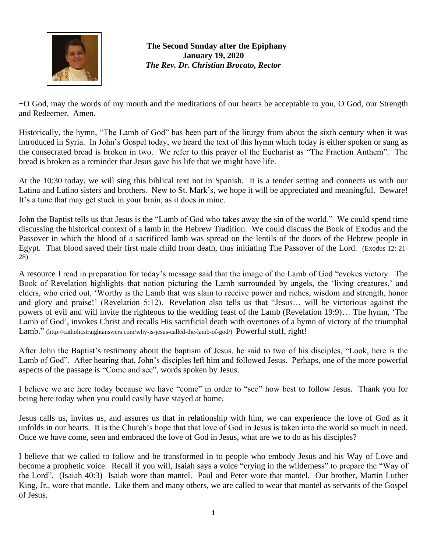

**The Second Sunday after the Epiphany January 19, 2020** *The Rev. Dr. Christian Brocato, Rector*

+O God, may the words of my mouth and the meditations of our hearts be acceptable to you, O God, our Strength and Redeemer. Amen.

Historically, the hymn, "The Lamb of God" has been part of the liturgy from about the sixth century when it was introduced in Syria. In John's Gospel today, we heard the text of this hymn which today is either spoken or sung as the consecrated bread is broken in two. We refer to this prayer of the Eucharist as "The Fraction Anthem". The bread is broken as a reminder that Jesus gave his life that we might have life.

At the 10:30 today, we will sing this biblical text not in Spanish. It is a tender setting and connects us with our Latina and Latino sisters and brothers. New to St. Mark's, we hope it will be appreciated and meaningful. Beware! It's a tune that may get stuck in your brain, as it does in mine.

John the Baptist tells us that Jesus is the "Lamb of God who takes away the sin of the world." We could spend time discussing the historical context of a lamb in the Hebrew Tradition. We could discuss the Book of Exodus and the Passover in which the blood of a sacrificed lamb was spread on the lentils of the doors of the Hebrew people in Egypt. That blood saved their first male child from death, thus initiating The Passover of the Lord. (Exodus 12: 21- 28)

A resource I read in preparation for today's message said that the image of the Lamb of God "evokes victory. The Book of Revelation highlights that notion picturing the Lamb surrounded by angels, the 'living creatures,' and elders, who cried out, 'Worthy is the Lamb that was slain to receive power and riches, wisdom and strength, honor and glory and praise!' (Revelation 5:12). Revelation also tells us that "Jesus… will be victorious against the powers of evil and will invite the righteous to the wedding feast of the Lamb (Revelation 19:9)… The hymn, 'The Lamb of God', invokes Christ and recalls His sacrificial death with overtones of a hymn of victory of the triumphal Lamb." [\(http://catholicstraightanswers.com/why-is-jesus-called-the-lamb-of-god/\)](http://catholicstraightanswers.com/why-is-jesus-called-the-lamb-of-god/) Powerful stuff, right!

After John the Baptist's testimony about the baptism of Jesus, he said to two of his disciples, "Look, here is the Lamb of God". After hearing that, John's disciples left him and followed Jesus. Perhaps, one of the more powerful aspects of the passage is "Come and see", words spoken by Jesus.

I believe we are here today because we have "come" in order to "see" how best to follow Jesus. Thank you for being here today when you could easily have stayed at home.

Jesus calls us, invites us, and assures us that in relationship with him, we can experience the love of God as it unfolds in our hearts. It is the Church's hope that that love of God in Jesus is taken into the world so much in need. Once we have come, seen and embraced the love of God in Jesus, what are we to do as his disciples?

I believe that we called to follow and be transformed in to people who embody Jesus and his Way of Love and become a prophetic voice. Recall if you will, Isaiah says a voice "crying in the wilderness" to prepare the "Way of the Lord". (Isaiah 40:3) Isaiah wore than mantel. Paul and Peter wore that mantel. Our brother, Martin Luther King, Jr., wore that mantle. Like them and many others, we are called to wear that mantel as servants of the Gospel of Jesus.